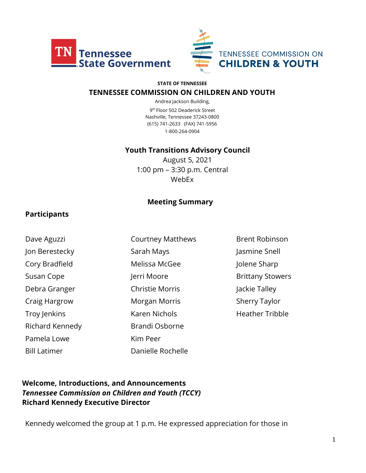



#### **STATE OF TENNESSEE**

#### **TENNESSEE COMMISSION ON CHILDREN AND YOUTH**

Andrea Jackson Building, 9 th Floor 502 Deaderick Street Nashville, Tennessee 37243-0800 (615) 741-2633 (FAX) 741-5956 1-800-264-0904

#### **Youth Transitions Advisory Council**

August 5, 2021 1:00 pm – 3:30 p.m. Central WebEx

#### **Meeting Summary**

#### **Participants**

| Dave Aguzzi         | <b>Courtney Matthews</b> |
|---------------------|--------------------------|
| Jon Berestecky      | Sarah Mays               |
| Cory Bradfield      | Melissa McGee            |
| Susan Cope          | Jerri Moore              |
| Debra Granger       | <b>Christie Morris</b>   |
| Craig Hargrow       | Morgan Morris            |
| Troy Jenkins        | <b>Karen Nichols</b>     |
| Richard Kennedy     | <b>Brandi Osborne</b>    |
| Pamela Lowe         | Kim Peer                 |
| <b>Bill Latimer</b> | Danielle Rochelle        |

Brent Robinson Jasmine Snell Jolene Sharp Brittany Stowers Jackie Talley Sherry Taylor Heather Tribble

### **Welcome, Introductions, and Announcements** *Tennessee Commission on Children and Youth (TCCY)* **Richard Kennedy Executive Director**

Kennedy welcomed the group at 1 p.m. He expressed appreciation for those in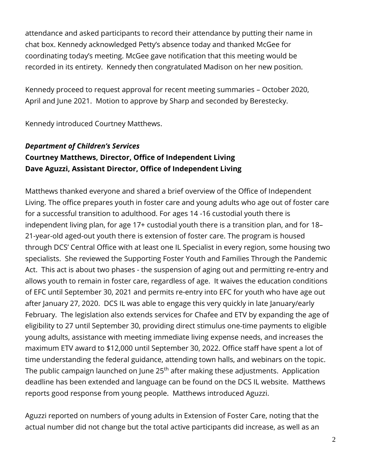attendance and asked participants to record their attendance by putting their name in chat box. Kennedy acknowledged Petty's absence today and thanked McGee for coordinating today's meeting. McGee gave notification that this meeting would be recorded in its entirety. Kennedy then congratulated Madison on her new position.

Kennedy proceed to request approval for recent meeting summaries – October 2020, April and June 2021. Motion to approve by Sharp and seconded by Berestecky.

Kennedy introduced Courtney Matthews.

# *Department of Children's Services* **Courtney Matthews, Director, Office of Independent Living Dave Aguzzi, Assistant Director, Office of Independent Living**

Matthews thanked everyone and shared a brief overview of the Office of Independent Living. The office prepares youth in foster care and young adults who age out of foster care for a successful transition to adulthood. For ages 14 -16 custodial youth there is independent living plan, for age 17+ custodial youth there is a transition plan, and for 18– 21-year-old aged-out youth there is extension of foster care. The program is housed through DCS' Central Office with at least one IL Specialist in every region, some housing two specialists. She reviewed the Supporting Foster Youth and Families Through the Pandemic Act. This act is about two phases - the suspension of aging out and permitting re-entry and allows youth to remain in foster care, regardless of age. It waives the education conditions of EFC until September 30, 2021 and permits re-entry into EFC for youth who have age out after January 27, 2020. DCS IL was able to engage this very quickly in late January/early February. The legislation also extends services for Chafee and ETV by expanding the age of eligibility to 27 until September 30, providing direct stimulus one-time payments to eligible young adults, assistance with meeting immediate living expense needs, and increases the maximum ETV award to \$12,000 until September 30, 2022. Office staff have spent a lot of time understanding the federal guidance, attending town halls, and webinars on the topic. The public campaign launched on June 25<sup>th</sup> after making these adjustments. Application deadline has been extended and language can be found on the DCS IL website. Matthews reports good response from young people. Matthews introduced Aguzzi.

Aguzzi reported on numbers of young adults in Extension of Foster Care, noting that the actual number did not change but the total active participants did increase, as well as an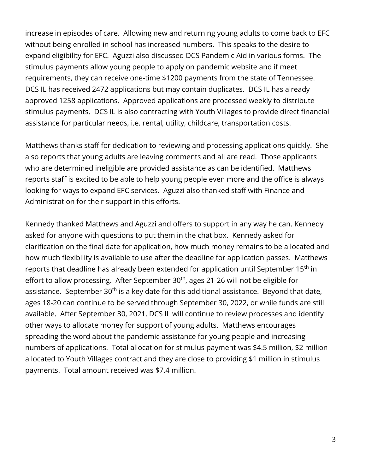increase in episodes of care. Allowing new and returning young adults to come back to EFC without being enrolled in school has increased numbers. This speaks to the desire to expand eligibility for EFC. Aguzzi also discussed DCS Pandemic Aid in various forms. The stimulus payments allow young people to apply on pandemic website and if meet requirements, they can receive one-time \$1200 payments from the state of Tennessee. DCS IL has received 2472 applications but may contain duplicates. DCS IL has already approved 1258 applications. Approved applications are processed weekly to distribute stimulus payments. DCS IL is also contracting with Youth Villages to provide direct financial assistance for particular needs, i.e. rental, utility, childcare, transportation costs.

Matthews thanks staff for dedication to reviewing and processing applications quickly. She also reports that young adults are leaving comments and all are read. Those applicants who are determined ineligible are provided assistance as can be identified. Matthews reports staff is excited to be able to help young people even more and the office is always looking for ways to expand EFC services. Aguzzi also thanked staff with Finance and Administration for their support in this efforts.

Kennedy thanked Matthews and Aguzzi and offers to support in any way he can. Kennedy asked for anyone with questions to put them in the chat box. Kennedy asked for clarification on the final date for application, how much money remains to be allocated and how much flexibility is available to use after the deadline for application passes. Matthews reports that deadline has already been extended for application until September 15<sup>th</sup> in effort to allow processing. After September 30<sup>th</sup>, ages 21-26 will not be eligible for assistance. September 30<sup>th</sup> is a key date for this additional assistance. Beyond that date, ages 18-20 can continue to be served through September 30, 2022, or while funds are still available. After September 30, 2021, DCS IL will continue to review processes and identify other ways to allocate money for support of young adults. Matthews encourages spreading the word about the pandemic assistance for young people and increasing numbers of applications. Total allocation for stimulus payment was \$4.5 million, \$2 million allocated to Youth Villages contract and they are close to providing \$1 million in stimulus payments. Total amount received was \$7.4 million.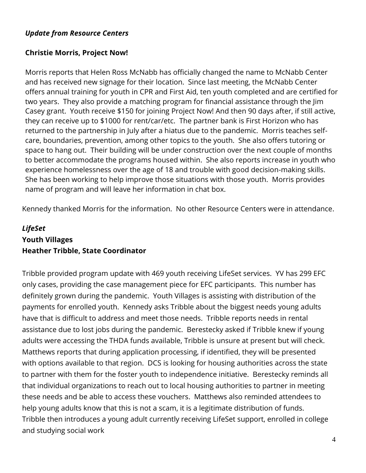### *Update from Resource Centers*

### **Christie Morris, Project Now!**

Morris reports that Helen Ross McNabb has officially changed the name to McNabb Center and has received new signage for their location. Since last meeting, the McNabb Center offers annual training for youth in CPR and First Aid, ten youth completed and are certified for two years. They also provide a matching program for financial assistance through the Jim Casey grant. Youth receive \$150 for joining Project Now! And then 90 days after, if still active, they can receive up to \$1000 for rent/car/etc. The partner bank is First Horizon who has returned to the partnership in July after a hiatus due to the pandemic. Morris teaches selfcare, boundaries, prevention, among other topics to the youth. She also offers tutoring or space to hang out. Their building will be under construction over the next couple of months to better accommodate the programs housed within. She also reports increase in youth who experience homelessness over the age of 18 and trouble with good decision-making skills. She has been working to help improve those situations with those youth. Morris provides name of program and will leave her information in chat box.

Kennedy thanked Morris for the information. No other Resource Centers were in attendance.

# *LifeSet* **Youth Villages Heather Tribble, State Coordinator**

Tribble provided program update with 469 youth receiving LifeSet services. YV has 299 EFC only cases, providing the case management piece for EFC participants. This number has definitely grown during the pandemic. Youth Villages is assisting with distribution of the payments for enrolled youth. Kennedy asks Tribble about the biggest needs young adults have that is difficult to address and meet those needs. Tribble reports needs in rental assistance due to lost jobs during the pandemic. Berestecky asked if Tribble knew if young adults were accessing the THDA funds available, Tribble is unsure at present but will check. Matthews reports that during application processing, if identified, they will be presented with options available to that region. DCS is looking for housing authorities across the state to partner with them for the foster youth to independence initiative. Berestecky reminds all that individual organizations to reach out to local housing authorities to partner in meeting these needs and be able to access these vouchers. Matthews also reminded attendees to help young adults know that this is not a scam, it is a legitimate distribution of funds. Tribble then introduces a young adult currently receiving LifeSet support, enrolled in college and studying social work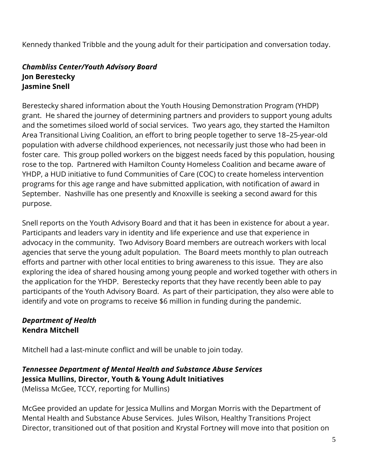Kennedy thanked Tribble and the young adult for their participation and conversation today.

# *Chambliss Center/Youth Advisory Board* **Jon Berestecky Jasmine Snell**

Berestecky shared information about the Youth Housing Demonstration Program (YHDP) grant. He shared the journey of determining partners and providers to support young adults and the sometimes siloed world of social services. Two years ago, they started the Hamilton Area Transitional Living Coalition, an effort to bring people together to serve 18–25-year-old population with adverse childhood experiences, not necessarily just those who had been in foster care. This group polled workers on the biggest needs faced by this population, housing rose to the top. Partnered with Hamilton County Homeless Coalition and became aware of YHDP, a HUD initiative to fund Communities of Care (COC) to create homeless intervention programs for this age range and have submitted application, with notification of award in September. Nashville has one presently and Knoxville is seeking a second award for this purpose.

Snell reports on the Youth Advisory Board and that it has been in existence for about a year. Participants and leaders vary in identity and life experience and use that experience in advocacy in the community. Two Advisory Board members are outreach workers with local agencies that serve the young adult population. The Board meets monthly to plan outreach efforts and partner with other local entities to bring awareness to this issue. They are also exploring the idea of shared housing among young people and worked together with others in the application for the YHDP. Berestecky reports that they have recently been able to pay participants of the Youth Advisory Board. As part of their participation, they also were able to identify and vote on programs to receive \$6 million in funding during the pandemic.

# *Department of Health*  **Kendra Mitchell**

Mitchell had a last-minute conflict and will be unable to join today.

# *Tennessee Department of Mental Health and Substance Abuse Services* **Jessica Mullins, Director, Youth & Young Adult Initiatives**

(Melissa McGee, TCCY, reporting for Mullins)

McGee provided an update for Jessica Mullins and Morgan Morris with the Department of Mental Health and Substance Abuse Services. Jules Wilson, Healthy Transitions Project Director, transitioned out of that position and Krystal Fortney will move into that position on